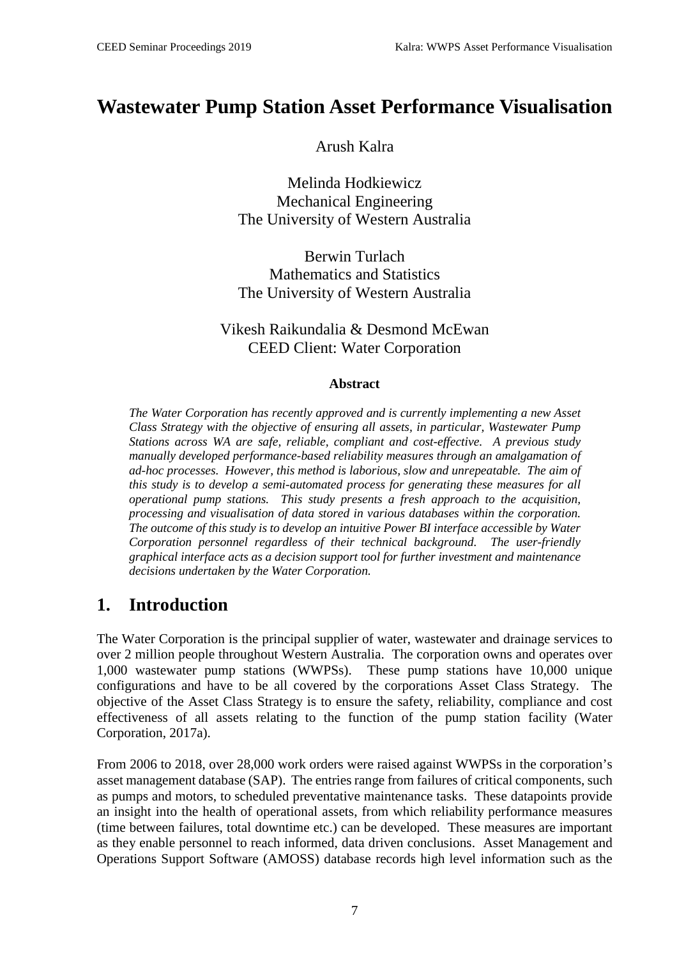# **Wastewater Pump Station Asset Performance Visualisation**

#### Arush Kalra

Melinda Hodkiewicz Mechanical Engineering The University of Western Australia

Berwin Turlach Mathematics and Statistics The University of Western Australia

#### Vikesh Raikundalia & Desmond McEwan CEED Client: Water Corporation

#### **Abstract**

*The Water Corporation has recently approved and is currently implementing a new Asset Class Strategy with the objective of ensuring all assets, in particular, Wastewater Pump Stations across WA are safe, reliable, compliant and cost-effective. A previous study manually developed performance-based reliability measures through an amalgamation of ad-hoc processes. However, this method is laborious, slow and unrepeatable. The aim of this study is to develop a semi-automated process for generating these measures for all operational pump stations. This study presents a fresh approach to the acquisition, processing and visualisation of data stored in various databases within the corporation. The outcome of this study is to develop an intuitive Power BI interface accessible by Water Corporation personnel regardless of their technical background. The user-friendly graphical interface acts as a decision support tool for further investment and maintenance decisions undertaken by the Water Corporation.*

# **1. Introduction**

The Water Corporation is the principal supplier of water, wastewater and drainage services to over 2 million people throughout Western Australia. The corporation owns and operates over 1,000 wastewater pump stations (WWPSs). These pump stations have 10,000 unique configurations and have to be all covered by the corporations Asset Class Strategy. The objective of the Asset Class Strategy is to ensure the safety, reliability, compliance and cost effectiveness of all assets relating to the function of the pump station facility (Water Corporation, 2017a).

From 2006 to 2018, over 28,000 work orders were raised against WWPSs in the corporation's asset management database (SAP). The entries range from failures of critical components, such as pumps and motors, to scheduled preventative maintenance tasks. These datapoints provide an insight into the health of operational assets, from which reliability performance measures (time between failures, total downtime etc.) can be developed. These measures are important as they enable personnel to reach informed, data driven conclusions. Asset Management and Operations Support Software (AMOSS) database records high level information such as the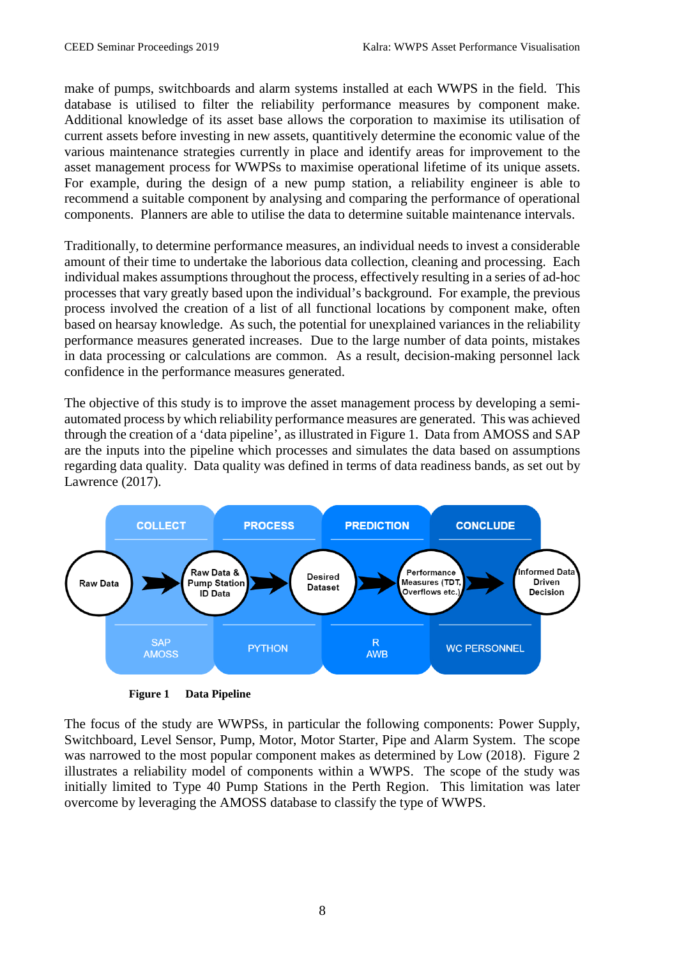make of pumps, switchboards and alarm systems installed at each WWPS in the field. This database is utilised to filter the reliability performance measures by component make. Additional knowledge of its asset base allows the corporation to maximise its utilisation of current assets before investing in new assets, quantitively determine the economic value of the various maintenance strategies currently in place and identify areas for improvement to the asset management process for WWPSs to maximise operational lifetime of its unique assets. For example, during the design of a new pump station, a reliability engineer is able to recommend a suitable component by analysing and comparing the performance of operational components. Planners are able to utilise the data to determine suitable maintenance intervals.

Traditionally, to determine performance measures, an individual needs to invest a considerable amount of their time to undertake the laborious data collection, cleaning and processing. Each individual makes assumptions throughout the process, effectively resulting in a series of ad-hoc processes that vary greatly based upon the individual's background. For example, the previous process involved the creation of a list of all functional locations by component make, often based on hearsay knowledge. As such, the potential for unexplained variances in the reliability performance measures generated increases. Due to the large number of data points, mistakes in data processing or calculations are common. As a result, decision-making personnel lack confidence in the performance measures generated.

The objective of this study is to improve the asset management process by developing a semiautomated process by which reliability performance measures are generated. This was achieved through the creation of a 'data pipeline', as illustrated in Figure 1. Data from AMOSS and SAP are the inputs into the pipeline which processes and simulates the data based on assumptions regarding data quality. Data quality was defined in terms of data readiness bands, as set out by Lawrence (2017).



**Figure 1 Data Pipeline**

The focus of the study are WWPSs, in particular the following components: Power Supply, Switchboard, Level Sensor, Pump, Motor, Motor Starter, Pipe and Alarm System. The scope was narrowed to the most popular component makes as determined by Low (2018). Figure 2 illustrates a reliability model of components within a WWPS. The scope of the study was initially limited to Type 40 Pump Stations in the Perth Region. This limitation was later overcome by leveraging the AMOSS database to classify the type of WWPS.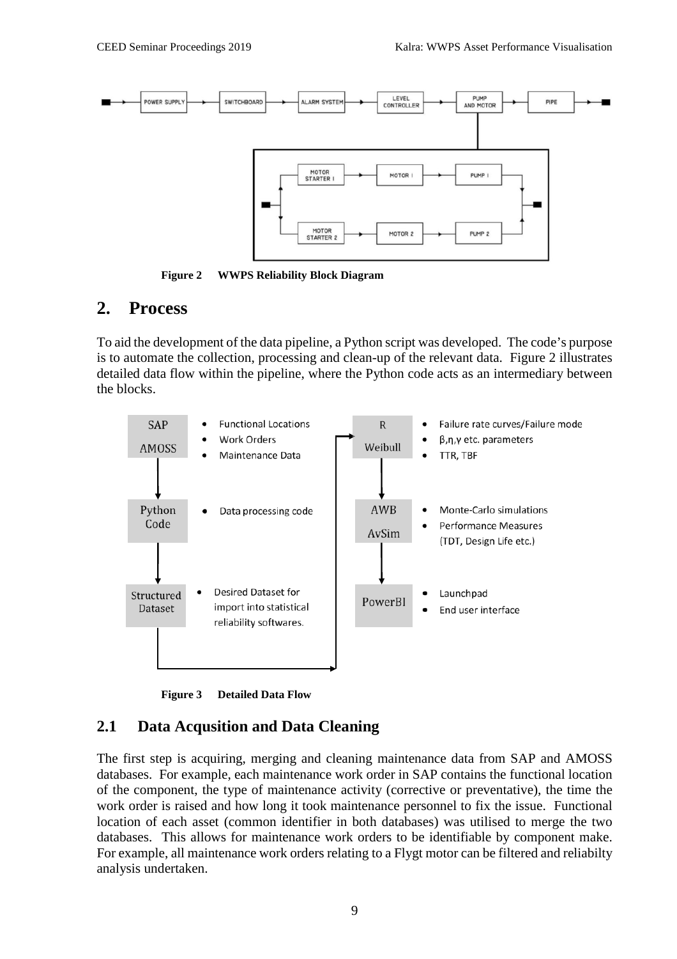

**Figure 2 WWPS Reliability Block Diagram**

### **2. Process**

To aid the development of the data pipeline, a Python script was developed. The code's purpose is to automate the collection, processing and clean-up of the relevant data. Figure 2 illustrates detailed data flow within the pipeline, where the Python code acts as an intermediary between the blocks.



**Figure 3 Detailed Data Flow**

### **2.1 Data Acqusition and Data Cleaning**

The first step is acquiring, merging and cleaning maintenance data from SAP and AMOSS databases. For example, each maintenance work order in SAP contains the functional location of the component, the type of maintenance activity (corrective or preventative), the time the work order is raised and how long it took maintenance personnel to fix the issue. Functional location of each asset (common identifier in both databases) was utilised to merge the two databases. This allows for maintenance work orders to be identifiable by component make. For example, all maintenance work orders relating to a Flygt motor can be filtered and reliabilty analysis undertaken.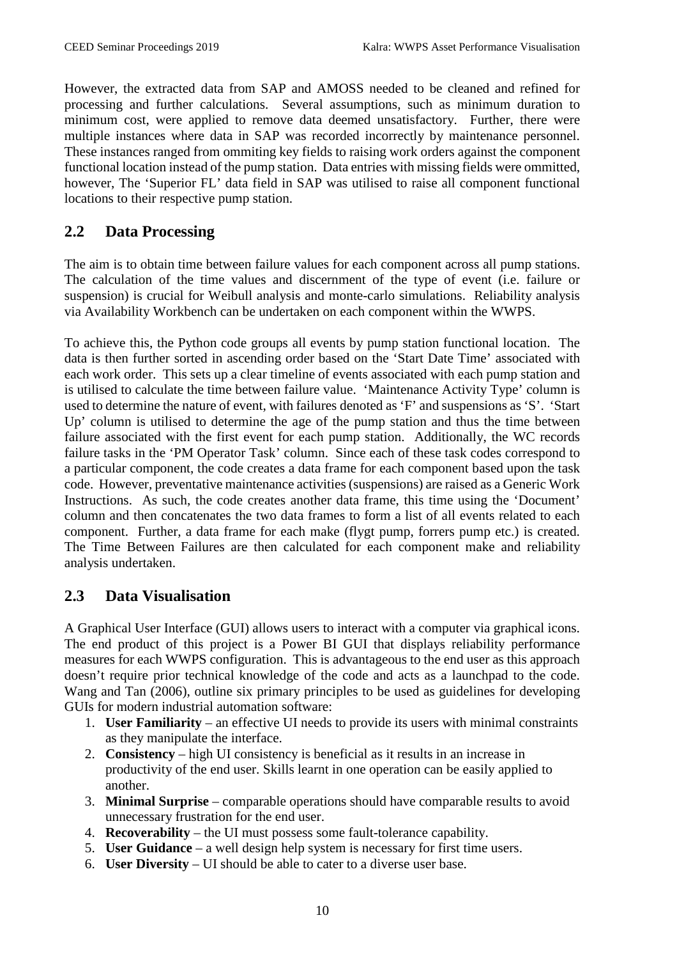However, the extracted data from SAP and AMOSS needed to be cleaned and refined for processing and further calculations. Several assumptions, such as minimum duration to minimum cost, were applied to remove data deemed unsatisfactory. Further, there were multiple instances where data in SAP was recorded incorrectly by maintenance personnel. These instances ranged from ommiting key fields to raising work orders against the component functional location instead of the pump station. Data entries with missing fields were ommitted, however, The 'Superior FL' data field in SAP was utilised to raise all component functional locations to their respective pump station.

### **2.2 Data Processing**

The aim is to obtain time between failure values for each component across all pump stations. The calculation of the time values and discernment of the type of event (i.e. failure or suspension) is crucial for Weibull analysis and monte-carlo simulations. Reliability analysis via Availability Workbench can be undertaken on each component within the WWPS.

To achieve this, the Python code groups all events by pump station functional location. The data is then further sorted in ascending order based on the 'Start Date Time' associated with each work order. This sets up a clear timeline of events associated with each pump station and is utilised to calculate the time between failure value. 'Maintenance Activity Type' column is used to determine the nature of event, with failures denoted as 'F' and suspensions as 'S'. 'Start Up' column is utilised to determine the age of the pump station and thus the time between failure associated with the first event for each pump station. Additionally, the WC records failure tasks in the 'PM Operator Task' column. Since each of these task codes correspond to a particular component, the code creates a data frame for each component based upon the task code. However, preventative maintenance activities (suspensions) are raised as a Generic Work Instructions. As such, the code creates another data frame, this time using the 'Document' column and then concatenates the two data frames to form a list of all events related to each component. Further, a data frame for each make (flygt pump, forrers pump etc.) is created. The Time Between Failures are then calculated for each component make and reliability analysis undertaken.

### **2.3 Data Visualisation**

A Graphical User Interface (GUI) allows users to interact with a computer via graphical icons. The end product of this project is a Power BI GUI that displays reliability performance measures for each WWPS configuration. This is advantageous to the end user as this approach doesn't require prior technical knowledge of the code and acts as a launchpad to the code. Wang and Tan (2006), outline six primary principles to be used as guidelines for developing GUIs for modern industrial automation software:

- 1. **User Familiarity** an effective UI needs to provide its users with minimal constraints as they manipulate the interface.
- 2. **Consistency** high UI consistency is beneficial as it results in an increase in productivity of the end user. Skills learnt in one operation can be easily applied to another.
- 3. **Minimal Surprise** comparable operations should have comparable results to avoid unnecessary frustration for the end user.
- 4. **Recoverability** the UI must possess some fault-tolerance capability.
- 5. **User Guidance** a well design help system is necessary for first time users.
- 6. **User Diversity** UI should be able to cater to a diverse user base.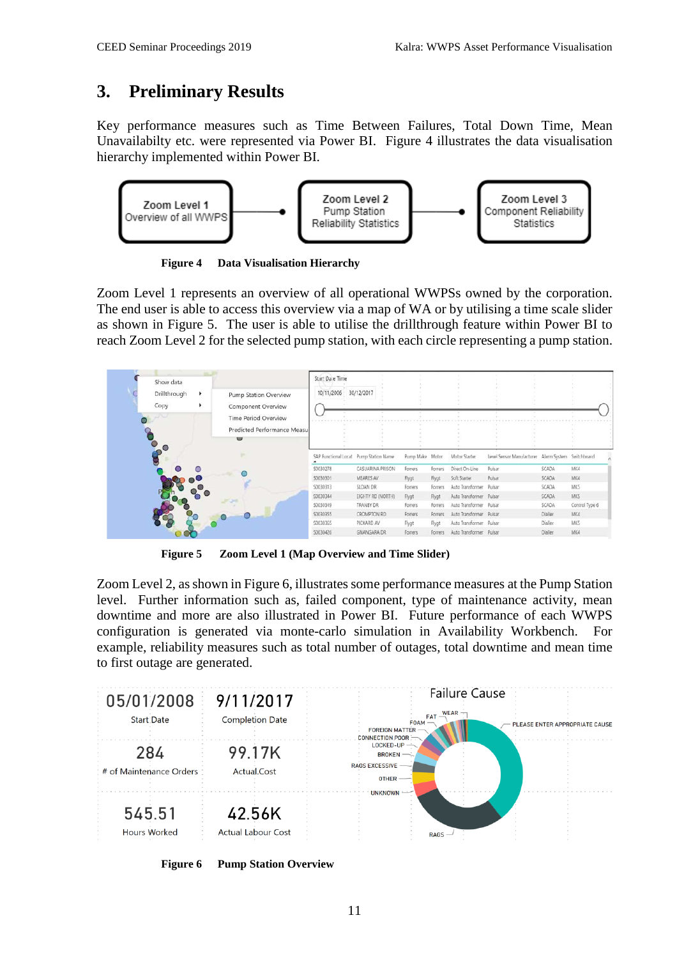# **3. Preliminary Results**

Key performance measures such as Time Between Failures, Total Down Time, Mean Unavailabilty etc. were represented via Power BI. Figure 4 illustrates the data visualisation hierarchy implemented within Power BI.



**Figure 4 Data Visualisation Hierarchy**

Zoom Level 1 represents an overview of all operational WWPSs owned by the corporation. The end user is able to access this overview via a map of WA or by utilising a time scale slider as shown in Figure 5. The user is able to utilise the drillthrough feature within Power BI to reach Zoom Level 2 for the selected pump station, with each circle representing a pump station.

| Show data<br>Drillthrough<br>Copy<br>an a | ٠<br>٠ | Pump Station Overview<br>Component Overview<br><b>Time Period Overview</b><br>Predicted Performance Measul<br>$\cup$ | Start Dale Time<br>10/11/2006 | 30/12/2017                             |                 |         |                         |                                                    |              |                |
|-------------------------------------------|--------|----------------------------------------------------------------------------------------------------------------------|-------------------------------|----------------------------------------|-----------------|---------|-------------------------|----------------------------------------------------|--------------|----------------|
|                                           |        |                                                                                                                      |                               | SAP Functional Locat Pump Station Name | Pump Make Motor |         | Motor Starter           | Level Sensor Manufacturer Alarm System Switchboard |              |                |
|                                           |        |                                                                                                                      | \$0030278                     | CASUARINA PRISON                       | Forrers         | Forrers | Direct On-Line          | Pulsar                                             | <b>SCADA</b> | MK4            |
|                                           |        |                                                                                                                      | \$0030301                     | MEARES AV                              | Flygt           | Flygt   | Soft Starter            | Pulsar                                             | <b>SCADA</b> | MK4            |
|                                           |        |                                                                                                                      | \$0030313                     | SLOAN DR                               | Forrers         | Forrers | Auto Transformer Pulsar |                                                    | SCADA        | MK5            |
|                                           |        |                                                                                                                      | \$0030344                     | EIGHTY RD (NORTH)                      | Flygt           | Flygt   | Auto Transformer Pulsar |                                                    | <b>SCADA</b> | MK5            |
|                                           |        |                                                                                                                      | \$0030349                     | TRANBY DR                              | Forrers         | Forrers | Auto Transformer        | Pulsar                                             | SCADA        | Control Type 6 |
|                                           |        |                                                                                                                      | \$0030355                     | CROMPTON RD                            | Forrers         | Forrers | Auto Transformer Pulsar |                                                    | Dialler      | MK4            |
|                                           |        |                                                                                                                      | \$0030365                     | PICKARD AV                             | Flygt           | Flygt   | Auto Transformer Pulsar |                                                    | Dialler      | MK5            |
|                                           |        |                                                                                                                      | \$0030426                     | <b>GNANGARA DR</b>                     | Forrers         | Forrers | Auto Transformer Pulsar |                                                    | Dialler      | MK4            |
|                                           |        |                                                                                                                      |                               |                                        |                 |         |                         |                                                    |              |                |

**Figure 5 Zoom Level 1 (Map Overview and Time Slider)**

Zoom Level 2, as shown in Figure 6, illustrates some performance measures at the Pump Station level. Further information such as, failed component, type of maintenance activity, mean downtime and more are also illustrated in Power BI. Future performance of each WWPS configuration is generated via monte-carlo simulation in Availability Workbench. For example, reliability measures such as total number of outages, total downtime and mean time to first outage are generated.



**Figure 6 Pump Station Overview**